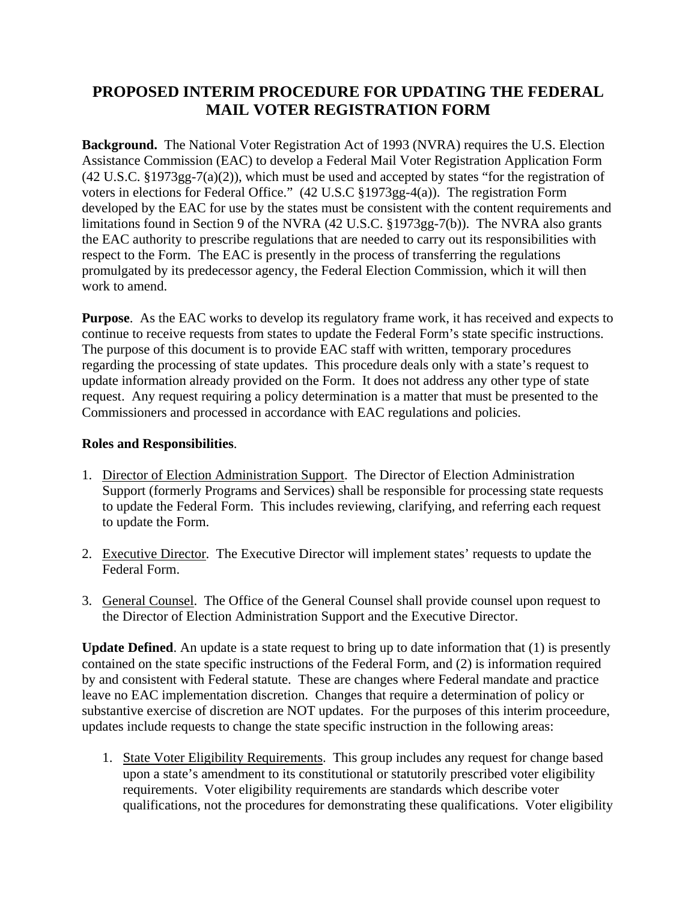## **PROPOSED INTERIM PROCEDURE FOR UPDATING THE FEDERAL MAIL VOTER REGISTRATION FORM**

**Background.** The National Voter Registration Act of 1993 (NVRA) requires the U.S. Election Assistance Commission (EAC) to develop a Federal Mail Voter Registration Application Form (42 U.S.C. §1973gg-7(a)(2)), which must be used and accepted by states "for the registration of voters in elections for Federal Office." (42 U.S.C §1973gg-4(a)). The registration Form developed by the EAC for use by the states must be consistent with the content requirements and limitations found in Section 9 of the NVRA (42 U.S.C. §1973gg-7(b)). The NVRA also grants the EAC authority to prescribe regulations that are needed to carry out its responsibilities with respect to the Form. The EAC is presently in the process of transferring the regulations promulgated by its predecessor agency, the Federal Election Commission, which it will then work to amend.

**Purpose**. As the EAC works to develop its regulatory frame work, it has received and expects to continue to receive requests from states to update the Federal Form's state specific instructions. The purpose of this document is to provide EAC staff with written, temporary procedures regarding the processing of state updates. This procedure deals only with a state's request to update information already provided on the Form. It does not address any other type of state request. Any request requiring a policy determination is a matter that must be presented to the Commissioners and processed in accordance with EAC regulations and policies.

## **Roles and Responsibilities**.

- 1. Director of Election Administration Support. The Director of Election Administration Support (formerly Programs and Services) shall be responsible for processing state requests to update the Federal Form. This includes reviewing, clarifying, and referring each request to update the Form.
- 2. Executive Director. The Executive Director will implement states' requests to update the Federal Form.
- 3. General Counsel. The Office of the General Counsel shall provide counsel upon request to the Director of Election Administration Support and the Executive Director.

**Update Defined**. An update is a state request to bring up to date information that (1) is presently contained on the state specific instructions of the Federal Form, and (2) is information required by and consistent with Federal statute. These are changes where Federal mandate and practice leave no EAC implementation discretion. Changes that require a determination of policy or substantive exercise of discretion are NOT updates. For the purposes of this interim proceedure, updates include requests to change the state specific instruction in the following areas:

1. State Voter Eligibility Requirements. This group includes any request for change based upon a state's amendment to its constitutional or statutorily prescribed voter eligibility requirements. Voter eligibility requirements are standards which describe voter qualifications, not the procedures for demonstrating these qualifications. Voter eligibility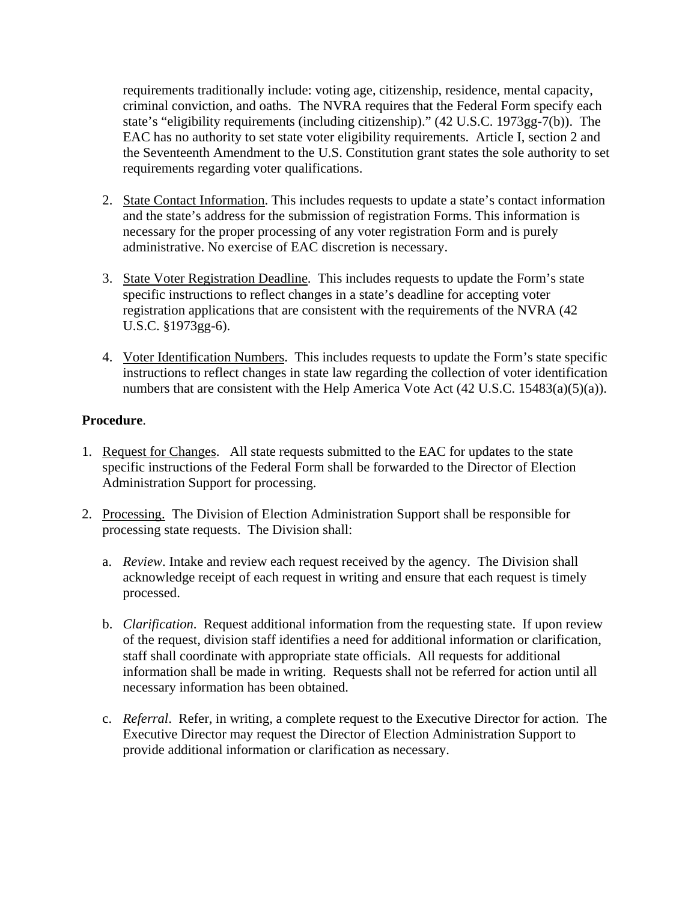requirements traditionally include: voting age, citizenship, residence, mental capacity, criminal conviction, and oaths. The NVRA requires that the Federal Form specify each state's "eligibility requirements (including citizenship)." (42 U.S.C. 1973gg-7(b)). The EAC has no authority to set state voter eligibility requirements. Article I, section 2 and the Seventeenth Amendment to the U.S. Constitution grant states the sole authority to set requirements regarding voter qualifications.

- 2. State Contact Information. This includes requests to update a state's contact information and the state's address for the submission of registration Forms. This information is necessary for the proper processing of any voter registration Form and is purely administrative. No exercise of EAC discretion is necessary.
- 3. State Voter Registration Deadline. This includes requests to update the Form's state specific instructions to reflect changes in a state's deadline for accepting voter registration applications that are consistent with the requirements of the NVRA (42 U.S.C. §1973gg-6).
- 4. Voter Identification Numbers. This includes requests to update the Form's state specific instructions to reflect changes in state law regarding the collection of voter identification numbers that are consistent with the Help America Vote Act (42 U.S.C. 15483(a)(5)(a)).

## **Procedure**.

- 1. Request for Changes. All state requests submitted to the EAC for updates to the state specific instructions of the Federal Form shall be forwarded to the Director of Election Administration Support for processing.
- 2. Processing. The Division of Election Administration Support shall be responsible for processing state requests. The Division shall:
	- a. *Review*. Intake and review each request received by the agency. The Division shall acknowledge receipt of each request in writing and ensure that each request is timely processed.
	- b. *Clarification*. Request additional information from the requesting state. If upon review of the request, division staff identifies a need for additional information or clarification, staff shall coordinate with appropriate state officials. All requests for additional information shall be made in writing. Requests shall not be referred for action until all necessary information has been obtained.
	- c. *Referral*. Refer, in writing, a complete request to the Executive Director for action. The Executive Director may request the Director of Election Administration Support to provide additional information or clarification as necessary.